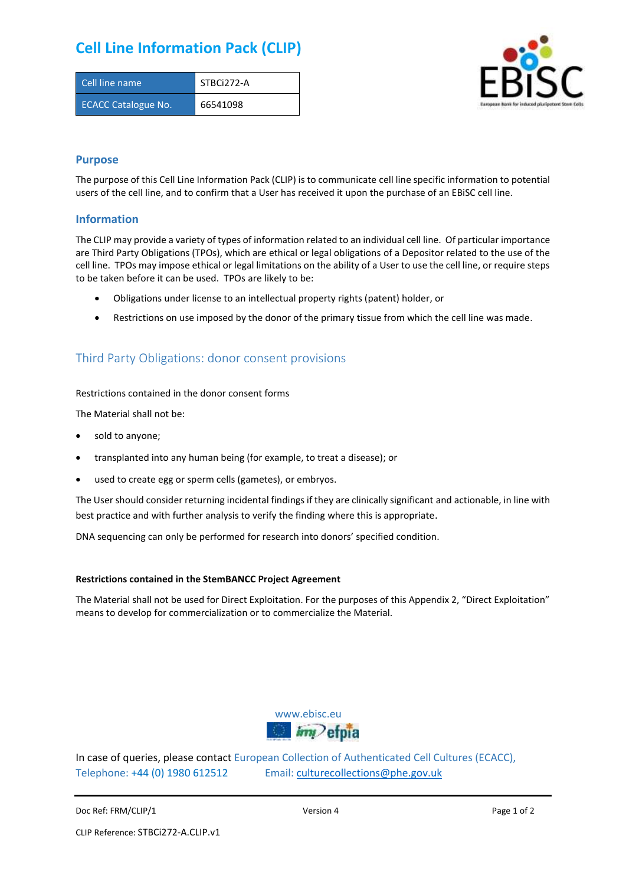# **Cell Line Information Pack (CLIP)**

| Cell line name             | STBCi272-A |
|----------------------------|------------|
| <b>ECACC Catalogue No.</b> | 66541098   |



### **Purpose**

The purpose of this Cell Line Information Pack (CLIP) is to communicate cell line specific information to potential users of the cell line, and to confirm that a User has received it upon the purchase of an EBiSC cell line.

### **Information**

The CLIP may provide a variety of types of information related to an individual cell line. Of particular importance are Third Party Obligations (TPOs), which are ethical or legal obligations of a Depositor related to the use of the cell line. TPOs may impose ethical or legal limitations on the ability of a User to use the cell line, or require steps to be taken before it can be used. TPOs are likely to be:

- Obligations under license to an intellectual property rights (patent) holder, or
- Restrictions on use imposed by the donor of the primary tissue from which the cell line was made.

## Third Party Obligations: donor consent provisions

#### Restrictions contained in the donor consent forms

The Material shall not be:

- sold to anyone;
- transplanted into any human being (for example, to treat a disease); or
- used to create egg or sperm cells (gametes), or embryos.

The User should consider returning incidental findings if they are clinically significant and actionable, in line with best practice and with further analysis to verify the finding where this is appropriate.

DNA sequencing can only be performed for research into donors' specified condition.

#### **Restrictions contained in the StemBANCC Project Agreement**

The Material shall not be used for Direct Exploitation. For the purposes of this Appendix 2, "Direct Exploitation" means to develop for commercialization or to commercialize the Material.



In case of queries, please contact European Collection of Authenticated Cell Cultures (ECACC), Telephone: +44 (0) 1980 612512 Email: [culturecollections@phe.gov.uk](mailto:culturecollections@phe.gov.uk)

Doc Ref: FRM/CLIP/1 **Docessition 2** Page 1 of 2